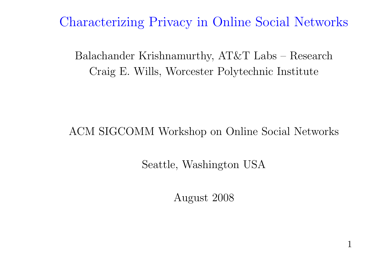Characterizing Privacy in Online Social Networks

Balachander Krishnamurthy, AT&T Labs – Research Craig E. Wills, Worcester Polytechnic Institute

ACM SIGCOMM Workshop on Online Social Networks

Seattle, Washington USA

August 2008

1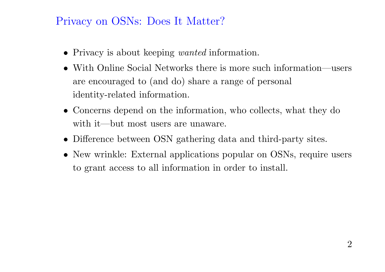## Privacy on OSNs: Does It Matter?

- Privacy is about keeping *wanted* information.
- With Online Social Networks there is more such information—users are encouraged to (and do) share <sup>a</sup> range of persona<sup>l</sup> identity-related information.
- Concerns depend on the information, who collects, what they do with it—but most users are unaware.
- Difference between OSN gathering data and third-party sites.
- New wrinkle: External applications popular on OSNs, require users to grant access to all information in order to install.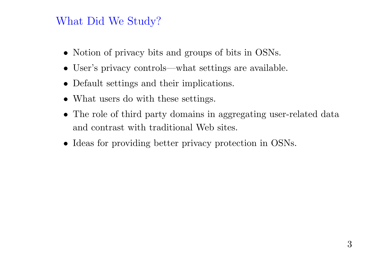## What Did We Study?

- Notion of privacy bits and groups of bits in OSNs.
- User's privacy controls—what settings are available.
- Default settings and their implications.
- What users do with these settings.
- The role of third party domains in aggregating user-related data and contrast with traditional Web sites.
- Ideas for providing better privacy protection in OSNs.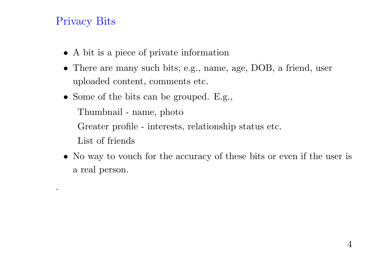## Privacy Bits

.

- A bit is <sup>a</sup> <sup>p</sup>iece of private information
- There are many such bits; e.g., name, age, DOB, <sup>a</sup> friend, user uploaded content, comments etc.
- Some of the bits can be grouped. E.g., Thumbnail - name, photo Greater profile - interests, relationship status etc. List of friends
- No way to vouch for the accuracy of these bits or even if the user is <sup>a</sup> real person.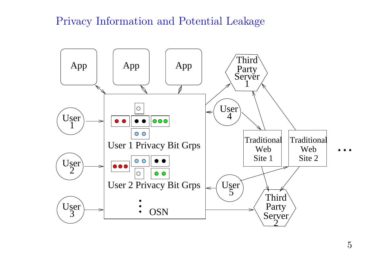#### Privacy Information and Potential Leakage

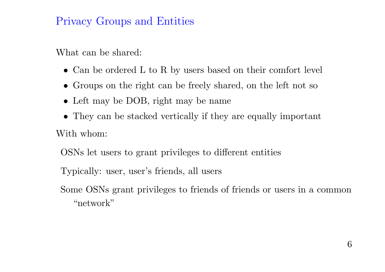## Privacy Groups and Entities

What can be shared:

- Can be ordered L to R by users based on their comfort level
- Groups on the right can be freely shared, on the left not so
- Left may be DOB, right may be name
- They can be stacked vertically if they are equally important With whom:

OSNs let users to grant privileges to different entities

Typically: user, user's friends, all users

Some OSNs grant privileges to friends of friends or users in <sup>a</sup> common "network"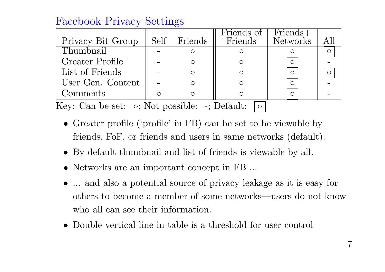## Facebook Privacy Settings

| Privacy Bit Group | Self | Friends | Friends of<br>Friends | Friends+<br>Networks |  |
|-------------------|------|---------|-----------------------|----------------------|--|
| Thumbnail         |      |         |                       |                      |  |
| Greater Profile   |      |         |                       | $\circ$              |  |
| List of Friends   |      | ∩       |                       |                      |  |
| User Gen. Content |      |         |                       | $\circ$              |  |
| Comments          |      |         |                       | O                    |  |

Key: Can be set:  $\circ$ ; Not possible: -; Default:  $\circ$ 

- Greater profile ('profile' in FB) can be set to be viewable by friends, FoF, or friends and users in same networks (default).
- By default thumbnail and list of friends is viewable by all.
- Networks are an important concept in FB ...
- ... and also <sup>a</sup> potential source of privacy leakage as it is easy for others to become <sup>a</sup> member of some networks—users do not know who all can see their information.
- Double vertical line in table is <sup>a</sup> threshold for user control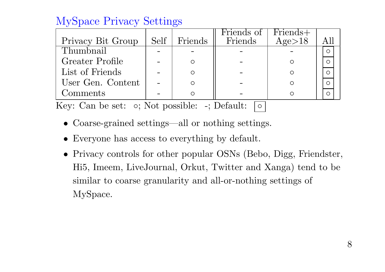# MySpace Privacy Settings

| Privacy Bit Group | Self | Friends | Friends of<br><b>Friends</b> | Friends+<br>Age>18 |  |
|-------------------|------|---------|------------------------------|--------------------|--|
| Thumbnail         |      |         |                              |                    |  |
| Greater Profile   |      |         |                              |                    |  |
| List of Friends   |      |         |                              |                    |  |
| User Gen. Content |      |         |                              |                    |  |
| Comments          |      |         |                              |                    |  |

Key: Can be set:  $\circ$ ; Not possible: -; Default:  $\circ$ 

- Coarse-grained settings—all or nothing settings.
- Everyone has access to everything by default.
- Privacy controls for other popular OSNs (Bebo, Digg, Friendster, Hi5, Imeem, LiveJournal, Orkut, Twitter and Xanga) tend to be similar to coarse granularity and all-or-nothing settings of MySpace.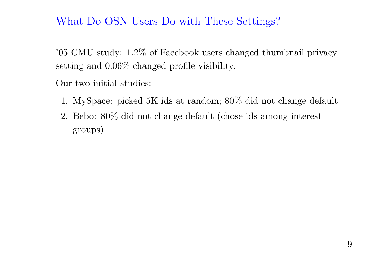#### What Do OSN Users Do with These Settings?

'05 CMU study: 1.2% of Facebook users changed thumbnail privacy setting and 0.06% changed profile visibility.

Our two initial studies:

- 1. MySpace: <sup>p</sup>icked 5K ids at random; 80% did not change default
- 2. Bebo: 80% did not change default (chose ids among interest groups)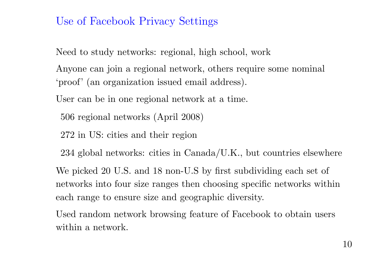#### Use of Facebook Privacy Settings

Need to study networks: regional, high school, work

Anyone can join <sup>a</sup> regional network, others require some nominal 'proof' (an organization issued email address).

User can be in one regional network at <sup>a</sup> time.

<sup>506</sup> regional networks (April 2008)

272 in US: cities and their region

<sup>234</sup> <sup>g</sup>lobal networks: cities in Canada/U.K., but countries elsewhere

We <sup>p</sup>icked 20 U.S. and 18 non-U.S by first subdividing each set of networks into four size ranges then choosing specific networks within each range to ensure size and geographic diversity.

Used random network browsing feature of Facebook to obtain users within a network.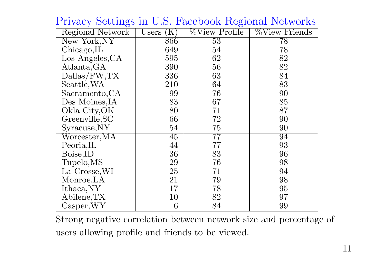| <b>Regional Network</b> | Users<br>K      | <b>Wiew Profile</b> | <i>%View Friends</i> |
|-------------------------|-----------------|---------------------|----------------------|
| New York, NY            | 866             | $\overline{53}$     | 78                   |
| Chicago, IL             | 649             | 54                  | 78                   |
| Los Angeles, CA         | 595             | 62                  | 82                   |
| Atlanta, GA             | 390             | 56                  | 82                   |
| Dallas/FW,TX            | 336             | 63                  | 84                   |
| Seattle, WA             | 210             | 64                  | 83                   |
| Sacramento, CA          | 99              | $\overline{76}$     | $\overline{90}$      |
| Des Moines, IA          | 83              | 67                  | 85                   |
| Okla City, OK           | 80              | 71                  | 87                   |
| Greenville, SC          | 66              | 72                  | 90                   |
| Syracuse, NY            | 54              | 75                  | 90                   |
| $\text{Worcester,MA}$   | 45              | $\overline{77}$     | 94                   |
| Peoria, IL              | 44              | 77                  | 93                   |
| Boise, ID               | 36              | 83                  | 96                   |
| Tupelo, MS              | 29              | 76                  | 98                   |
| La Crosse, WI           | $\overline{25}$ | 71                  | 94                   |
| Monroe, LA              | 21              | 79                  | 98                   |
| Ithaca, NY              | 17              | 78                  | 95                   |
| Abilene, TX             | 10              | 82                  | 97                   |
| $\alpha$ sper, WY       | 6               | 84                  | 99                   |

Privacy Settings in U.S. Facebook Regional Networks

Strong negative correlation between network size and percentage of users allowing profile and friends to be viewed.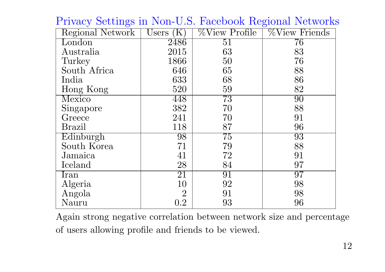| Regional Network | Users<br>K     | <b>Wiew Profile</b> | <b>Wiew Friends</b> |
|------------------|----------------|---------------------|---------------------|
| London           | 2486           | $\overline{51}$     | $\overline{76}$     |
| Australia        | 2015           | 63                  | 83                  |
| Turkey           | 1866           | 50                  | 76                  |
| South Africa     | 646            | 65                  | 88                  |
| India            | 633            | 68                  | 86                  |
| Hong Kong        | 520            | 59                  | 82                  |
| Mexico           | 448            | $\overline{73}$     | 90                  |
| Singapore        | 382            | 70                  | 88                  |
| Greece           | 241            | 70                  | 91                  |
| Brazil           | 118            | 87                  | 96                  |
| Edinburgh        | 98             | 75                  | $\overline{93}$     |
| South Korea      | 71             | 79                  | 88                  |
| Jamaica          | 41             | 72                  | 91                  |
| Iceland          | 28             | 84                  | 97                  |
| Iran             | 21             | 91                  | 97                  |
| Algeria          | 10             | 92                  | 98                  |
| Angola           | $\overline{2}$ | 91                  | 98                  |
| Nauru            | 0.2            | 93                  | 96                  |

Privacy Settings in Non-U.S. Facebook Regional Networks

Again strong negative correlation between network size and percentage of users allowing profile and friends to be viewed.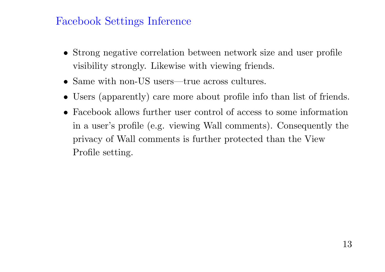#### Facebook Settings Inference

- Strong negative correlation between network size and user profile visibility strongly. Likewise with viewing friends.
- Same with non-US users—true across cultures.
- •Users (apparently) care more about profile info than list of friends.
- Facebook allows further user control of access to some information in <sup>a</sup> user's profile (e.g. viewing Wall comments). Consequently the privacy of Wall comments is further protected than the View Profile setting.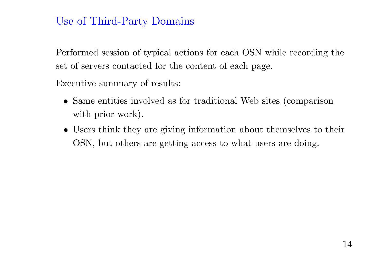## Use of Third-Party Domains

Performed session of typical actions for each OSN while recording the set of servers contacted for the content of each page.

Executive summary of results:

- Same entities involved as for traditional Web sites (comparison with prior work).
- Users think they are giving information about themselves to their OSN, but others are getting access to what users are doing.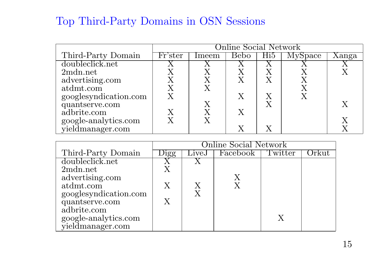# Top Third-Party Domains in OSN Sessions

|                       | Online Social Network |       |             |                 |                |       |
|-----------------------|-----------------------|-------|-------------|-----------------|----------------|-------|
| Third-Party Domain    | Fr'ster               | Imeem | <b>Bebo</b> | Hi <sub>5</sub> | <b>MySpace</b> | Xanga |
| doubleclick.net       |                       |       |             |                 |                |       |
| 2mdn.net              |                       |       |             |                 |                |       |
| advertising.com       |                       |       |             |                 |                |       |
| atdmt.com             |                       |       |             |                 |                |       |
| googlesyndication.com |                       |       |             |                 |                |       |
| quantserve.com        |                       |       |             |                 |                |       |
| adbrite.com           |                       |       |             |                 |                |       |
| google-analytics.com  |                       |       |             |                 |                |       |
| yieldmanager.com      |                       |       |             |                 |                |       |

|                       | Online Social Network |       |          |              |  |  |
|-----------------------|-----------------------|-------|----------|--------------|--|--|
| Third-Party Domain    | igg                   | LiveJ | Facebook | Twitter      |  |  |
| doubleclick.net       |                       |       |          |              |  |  |
| 2mdn.net              |                       |       |          |              |  |  |
| advertising.com       |                       |       |          |              |  |  |
| atdmt.com             | X                     |       |          |              |  |  |
| googlesyndication.com |                       | X     |          |              |  |  |
| quantserve.com        | X                     |       |          |              |  |  |
| adbrite.com           |                       |       |          |              |  |  |
| google-analytics.com  |                       |       |          | $\mathbf{X}$ |  |  |
| yieldmanager.com      |                       |       |          |              |  |  |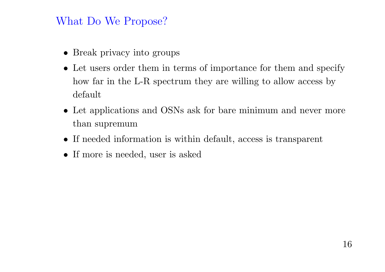#### What Do We Propose?

- Break privacy into groups
- Let users order them in terms of importance for them and specify how far in the L-R spectrum they are willing to allow access by default
- Let applications and OSNs ask for bare minimum and never more than supremum
- If needed information is within default, access is transparent
- If more is needed, user is asked